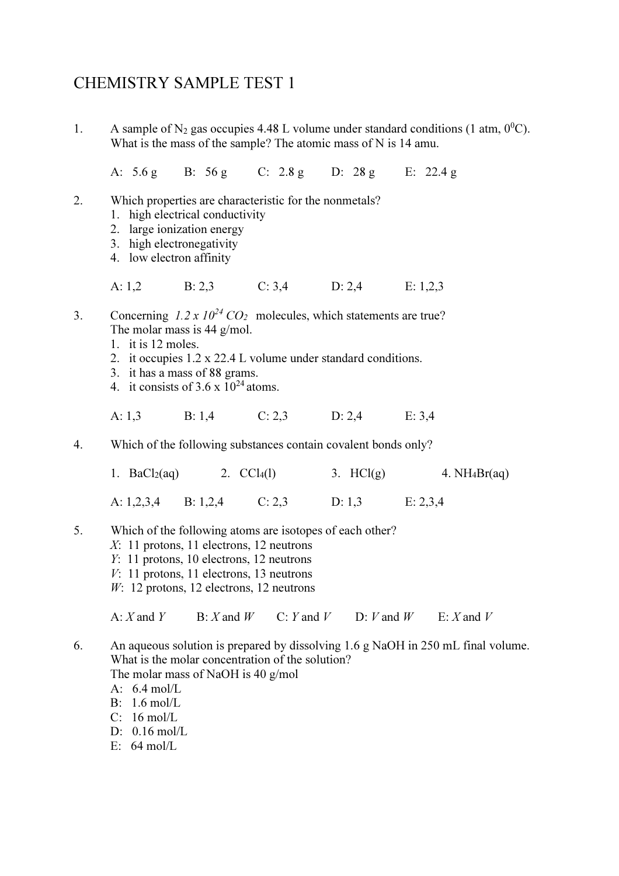## CHEMISTRY SAMPLE TEST 1

1. A sample of N<sub>2</sub> gas occupies 4.48 L volume under standard conditions (1 atm,  $0^0$ C). What is the mass of the sample? The atomic mass of N is 14 amu.

A: 5.6 g B: 56 g C: 2.8 g D: 28 g E: 22.4 g

- 2. Which properties are characteristic for the nonmetals?
	- 1. high electrical conductivity
	- 2. large ionization energy
	- 3. high electronegativity
	- 4. low electron affinity
- A: 1,2 B: 2,3 C: 3,4 D: 2,4 E: 1,2,3
- 3. Concerning  $1.2 \times 10^{24}$  CO<sub>2</sub> molecules, which statements are true? The molar mass is 44 g/mol.
	- 1. it is 12 moles.
	- 2. it occupies 1.2 x 22.4 L volume under standard conditions.
	- 3. it has a mass of 88 grams.
	- 4. it consists of  $3.6 \times 10^{24}$  atoms.
- A: 1,3 B: 1,4 C: 2,3 D: 2,4 E: 3,4
- 4. Which of the following substances contain covalent bonds only?

| 1. $BaCl2(aq)$ |          | 2. $CCl_4(1)$ | 3. $HCl(g)$ | 4. $NH_4Br(aq)$ |
|----------------|----------|---------------|-------------|-----------------|
| A: $1,2,3,4$   | B: 1.2.4 | C: 2,3        | D: 1.3      | E: 2,3,4        |

- 5. Which of the following atoms are isotopes of each other?
	- X: 11 protons, 11 electrons, 12 neutrons
	- Y: 11 protons, 10 electrons, 12 neutrons
	- V: 11 protons, 11 electrons, 13 neutrons
	- $W: 12$  protons, 12 electrons, 12 neutrons

A: X and Y B: X and W C: Y and V D: V and W E: X and V

- 6. An aqueous solution is prepared by dissolving 1.6 g NaOH in 250 mL final volume. What is the molar concentration of the solution? The molar mass of NaOH is 40 g/mol
	- A: 6.4 mol/L
	- B: 1.6 mol/L
	- C: 16 mol/L
	- D: 0.16 mol/L
	- E: 64 mol/L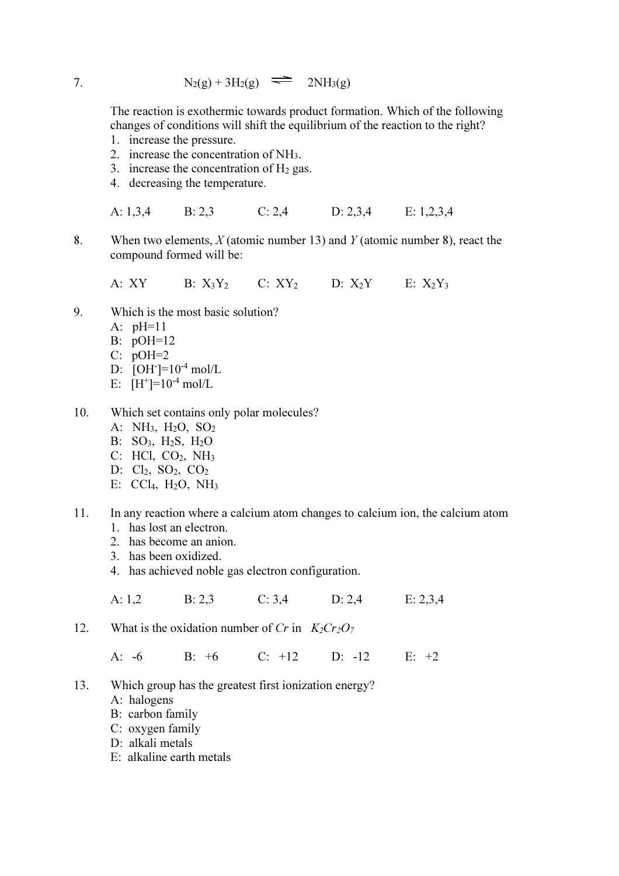7. 
$$
N_2(g) + 3H_2(g) \implies 2NH_3(g)
$$

The reaction is exothermic towards product formation. Which of the following changes of conditions will shift the equilibrium of the reaction to the right?

- 1. increase the pressure.
- 2. increase the concentration of NH3.
- 3. increase the concentration of  $H_2$  gas.
- 4. decreasing the temperature.

A: 1,3,4 B: 2,3 C: 2,4 D: 2,3,4 E: 1,2,3,4

8. When two elements,  $X$  (atomic number 13) and  $Y$  (atomic number 8), react the compound formed will be:

A: XY B:  $X_3Y_2$  C:  $XY_2$  D:  $X_2Y$  E:  $X_2Y_3$ 

- 9. Which is the most basic solution?
	- A: pH=11
	- B: pOH=12
	- $C: pOH=2$
- D:  $[OH^-] = 10^{-4}$  mol/L
- E:  $[H^+] = 10^{-4}$  mol/L
- 10. Which set contains only polar molecules?
	- A: NH3, H2O, SO<sup>2</sup>
	- B: SO3, H2S, H2O
	- C: HCl, CO2, NH<sup>3</sup>
	- D:  $Cl_2$ ,  $SO_2$ ,  $CO_2$
	- E: CCl<sub>4</sub>, H<sub>2</sub>O, NH<sub>3</sub>
- 11. In any reaction where a calcium atom changes to calcium ion, the calcium atom
	- 1. has lost an electron.
	- 2. has become an anion.
	- 3. has been oxidized.
	- 4. has achieved noble gas electron configuration.

A: 1,2 B: 2,3 C: 3,4 D: 2,4 E: 2,3,4

12. What is the oxidation number of Cr in  $K_2Cr_2O_7$ 

A: -6 B: +6 C: +12 D: -12 E: +2

- 13. Which group has the greatest first ionization energy?
	- A: halogens
	- B: carbon family
	- C: oxygen family
	- D: alkali metals
	- E: alkaline earth metals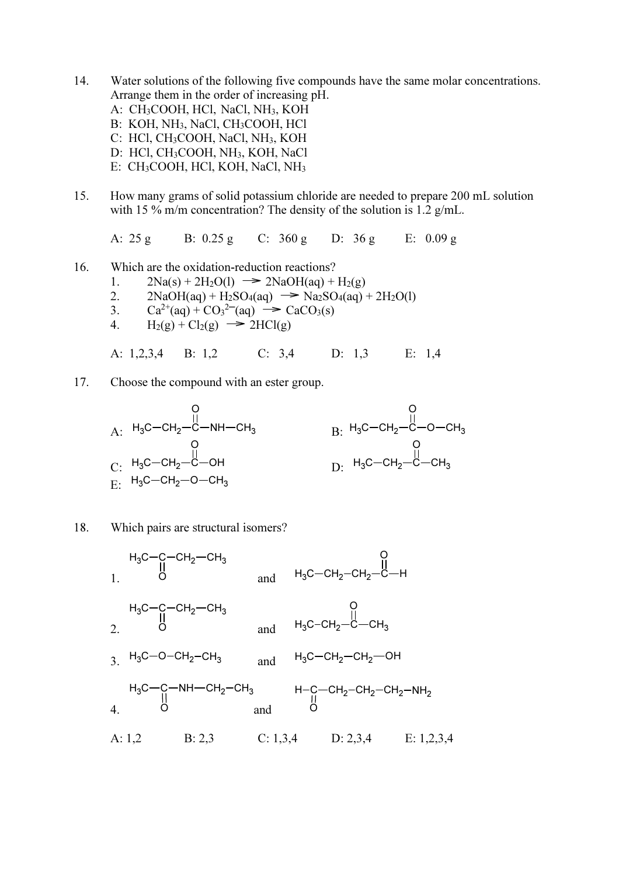- 14. Water solutions of the following five compounds have the same molar concentrations. Arrange them in the order of increasing pH.
	- A: CH3COOH, HCl, NaCl, NH3, KOH
	- B: KOH, NH<sub>3</sub>, NaCl, CH<sub>3</sub>COOH, HCl
	- C: HCl, CH3COOH, NaCl, NH3, KOH
	- D: HCl, CH3COOH, NH3, KOH, NaCl
	- E: CH3COOH, HCl, KOH, NaCl, NH<sup>3</sup>
- 15. How many grams of solid potassium chloride are needed to prepare 200 mL solution with 15 % m/m concentration? The density of the solution is 1.2 g/mL.

A: 25 g B: 0.25 g C: 360 g D: 36 g E: 0.09 g

- 16. Which are the oxidation-reduction reactions?
	- 1.  $2Na(s) + 2H_2O(1) \rightarrow 2NaOH(aq) + H_2(g)$
	- 2.  $2NaOH(aq) + H_2SO_4(aq) \rightarrow Na_2SO_4(aq) + 2H_2O(l)$
- 3.  $Ca^{2+}(aq) + CO_3^{2-}(aq) \rightarrow CaCO_3(s)$ 
	- 4.  $H_2(g) + Cl_2(g) \rightarrow 2HCl(g)$

A: 1,2,3,4 B: 1,2 C: 3,4 D: 1,3 E: 1,4

17. Choose the compound with an ester group.



## 18. Which pairs are structural isomers?